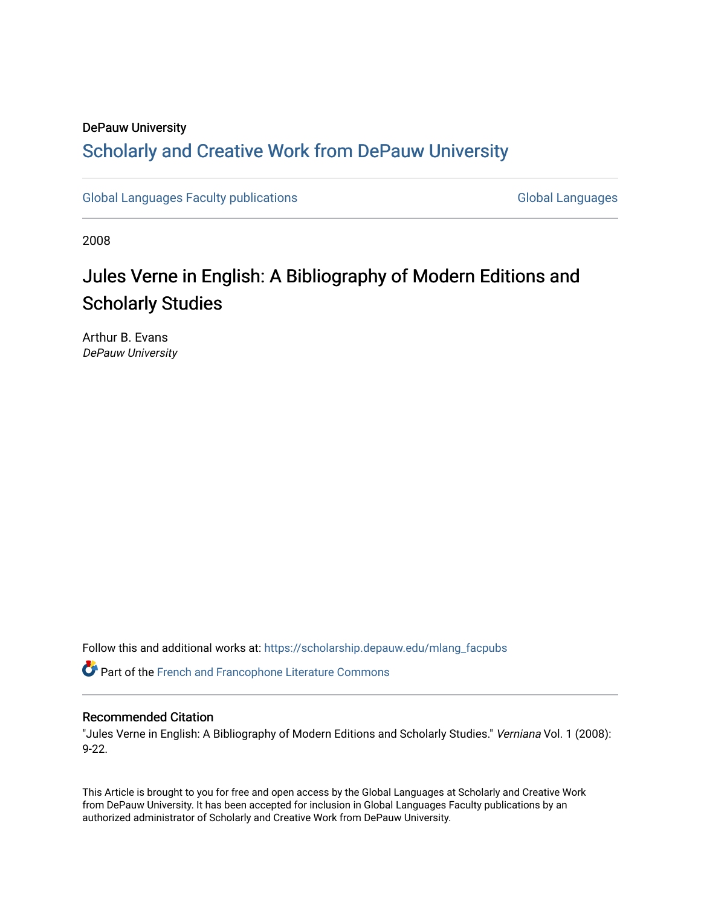### DePauw University

## Scholarly and [Creative Work from DePauw Univ](https://scholarship.depauw.edu/)ersity

[Global Languages Faculty publications](https://scholarship.depauw.edu/mlang_facpubs) [Global Languages](https://scholarship.depauw.edu/modernlanguages) Global Languages

2008

# Jules Verne in English: A Bibliography of Modern Editions and Scholarly Studies

Arthur B. Evans DePauw University

Follow this and additional works at: [https://scholarship.depauw.edu/mlang\\_facpubs](https://scholarship.depauw.edu/mlang_facpubs?utm_source=scholarship.depauw.edu%2Fmlang_facpubs%2F4&utm_medium=PDF&utm_campaign=PDFCoverPages)

Part of the [French and Francophone Literature Commons](https://network.bepress.com/hgg/discipline/465?utm_source=scholarship.depauw.edu%2Fmlang_facpubs%2F4&utm_medium=PDF&utm_campaign=PDFCoverPages) 

#### Recommended Citation

"Jules Verne in English: A Bibliography of Modern Editions and Scholarly Studies." Verniana Vol. 1 (2008): 9-22.

This Article is brought to you for free and open access by the Global Languages at Scholarly and Creative Work from DePauw University. It has been accepted for inclusion in Global Languages Faculty publications by an authorized administrator of Scholarly and Creative Work from DePauw University.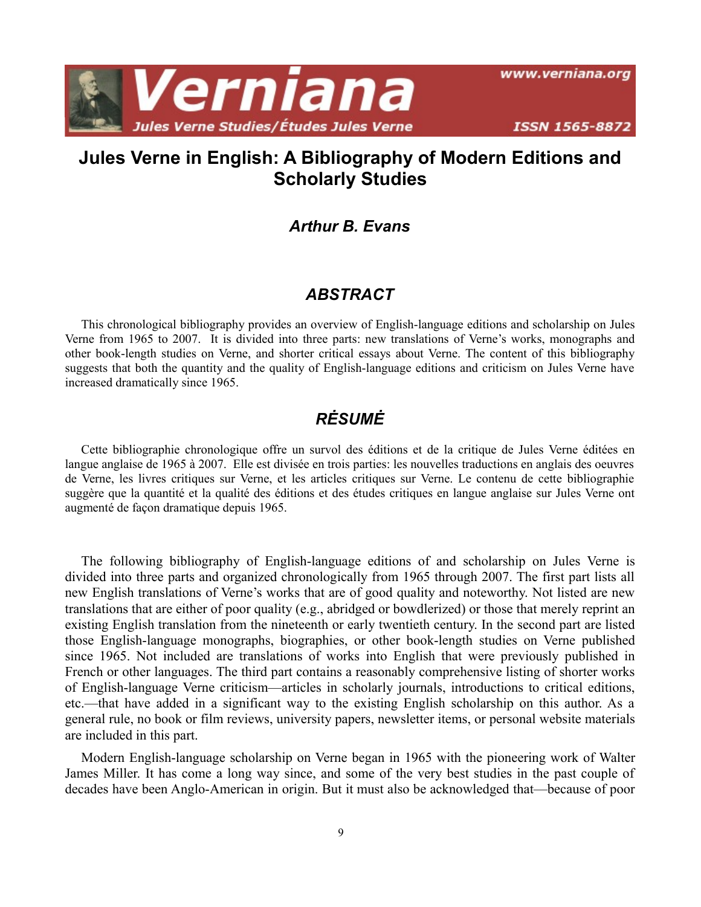

www.verniana.org

## **Jules Verne in English: A Bibliography of Modern Editions and Scholarly Studies**

### *Arthur B. Evans*

### *ABSTRACT*

This chronological bibliography provides an overview of English-language editions and scholarship on Jules Verne from 1965 to 2007. It is divided into three parts: new translations of Verne's works, monographs and other book-length studies on Verne, and shorter critical essays about Verne. The content of this bibliography suggests that both the quantity and the quality of English-language editions and criticism on Jules Verne have increased dramatically since 1965.

## *RĖSUMĖ*

Cette bibliographie chronologique offre un survol des éditions et de la critique de Jules Verne éditées en langue anglaise de 1965 à 2007. Elle est divisée en trois parties: les nouvelles traductions en anglais des oeuvres de Verne, les livres critiques sur Verne, et les articles critiques sur Verne. Le contenu de cette bibliographie suggère que la quantité et la qualité des éditions et des études critiques en langue anglaise sur Jules Verne ont augmenté de façon dramatique depuis 1965.

The following bibliography of English-language editions of and scholarship on Jules Verne is divided into three parts and organized chronologically from 1965 through 2007. The first part lists all new English translations of Verne's works that are of good quality and noteworthy. Not listed are new translations that are either of poor quality (e.g., abridged or bowdlerized) or those that merely reprint an existing English translation from the nineteenth or early twentieth century. In the second part are listed those English-language monographs, biographies, or other book-length studies on Verne published since 1965. Not included are translations of works into English that were previously published in French or other languages. The third part contains a reasonably comprehensive listing of shorter works of English-language Verne criticism—articles in scholarly journals, introductions to critical editions, etc.—that have added in a significant way to the existing English scholarship on this author. As a general rule, no book or film reviews, university papers, newsletter items, or personal website materials are included in this part.

Modern English-language scholarship on Verne began in 1965 with the pioneering work of Walter James Miller. It has come a long way since, and some of the very best studies in the past couple of decades have been Anglo-American in origin. But it must also be acknowledged that—because of poor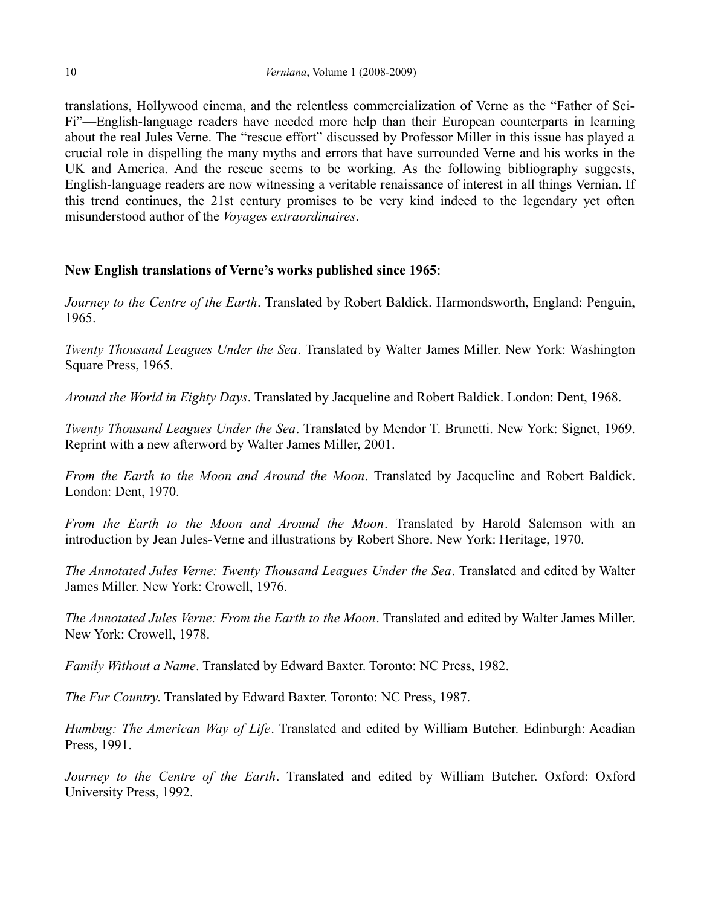translations, Hollywood cinema, and the relentless commercialization of Verne as the "Father of Sci-Fi"—English-language readers have needed more help than their European counterparts in learning about the real Jules Verne. The "rescue effort" discussed by Professor Miller in this issue has played a crucial role in dispelling the many myths and errors that have surrounded Verne and his works in the UK and America. And the rescue seems to be working. As the following bibliography suggests, English-language readers are now witnessing a veritable renaissance of interest in all things Vernian. If this trend continues, the 21st century promises to be very kind indeed to the legendary yet often misunderstood author of the *Voyages extraordinaires*.

#### **New English translations of Verne's works published since 1965**:

*Journey to the Centre of the Earth*. Translated by Robert Baldick. Harmondsworth, England: Penguin, 1965.

*Twenty Thousand Leagues Under the Sea*. Translated by Walter James Miller. New York: Washington Square Press, 1965.

*Around the World in Eighty Days*. Translated by Jacqueline and Robert Baldick. London: Dent, 1968.

*Twenty Thousand Leagues Under the Sea*. Translated by Mendor T. Brunetti. New York: Signet, 1969. Reprint with a new afterword by Walter James Miller, 2001.

*From the Earth to the Moon and Around the Moon*. Translated by Jacqueline and Robert Baldick. London: Dent, 1970.

*From the Earth to the Moon and Around the Moon*. Translated by Harold Salemson with an introduction by Jean Jules-Verne and illustrations by Robert Shore. New York: Heritage, 1970.

*The Annotated Jules Verne: Twenty Thousand Leagues Under the Sea*. Translated and edited by Walter James Miller. New York: Crowell, 1976.

*The Annotated Jules Verne: From the Earth to the Moon*. Translated and edited by Walter James Miller. New York: Crowell, 1978.

*Family Without a Name*. Translated by Edward Baxter. Toronto: NC Press, 1982.

*The Fur Country*. Translated by Edward Baxter. Toronto: NC Press, 1987.

*Humbug: The American Way of Life*. Translated and edited by William Butcher. Edinburgh: Acadian Press, 1991.

*Journey to the Centre of the Earth*. Translated and edited by William Butcher. Oxford: Oxford University Press, 1992.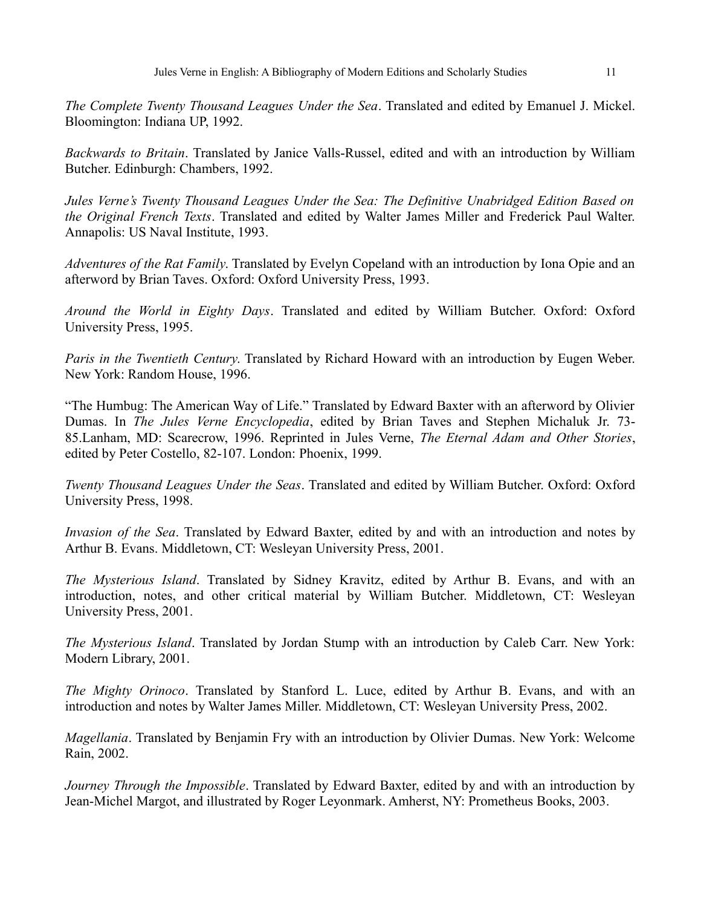*The Complete Twenty Thousand Leagues Under the Sea*. Translated and edited by Emanuel J. Mickel. Bloomington: Indiana UP, 1992.

*Backwards to Britain*. Translated by Janice Valls-Russel, edited and with an introduction by William Butcher. Edinburgh: Chambers, 1992.

*Jules Verne's Twenty Thousand Leagues Under the Sea: The Definitive Unabridged Edition Based on the Original French Texts*. Translated and edited by Walter James Miller and Frederick Paul Walter. Annapolis: US Naval Institute, 1993.

*Adventures of the Rat Family*. Translated by Evelyn Copeland with an introduction by Iona Opie and an afterword by Brian Taves. Oxford: Oxford University Press, 1993.

*Around the World in Eighty Days*. Translated and edited by William Butcher. Oxford: Oxford University Press, 1995.

*Paris in the Twentieth Century*. Translated by Richard Howard with an introduction by Eugen Weber. New York: Random House, 1996.

"The Humbug: The American Way of Life." Translated by Edward Baxter with an afterword by Olivier Dumas. In *The Jules Verne Encyclopedia*, edited by Brian Taves and Stephen Michaluk Jr. 73- 85.Lanham, MD: Scarecrow, 1996. Reprinted in Jules Verne, *The Eternal Adam and Other Stories*, edited by Peter Costello, 82-107. London: Phoenix, 1999.

*Twenty Thousand Leagues Under the Seas*. Translated and edited by William Butcher. Oxford: Oxford University Press, 1998.

*Invasion of the Sea*. Translated by Edward Baxter, edited by and with an introduction and notes by Arthur B. Evans. Middletown, CT: Wesleyan University Press, 2001.

*The Mysterious Island*. Translated by Sidney Kravitz, edited by Arthur B. Evans, and with an introduction, notes, and other critical material by William Butcher. Middletown, CT: Wesleyan University Press, 2001.

*The Mysterious Island*. Translated by Jordan Stump with an introduction by Caleb Carr. New York: Modern Library, 2001.

*The Mighty Orinoco*. Translated by Stanford L. Luce, edited by Arthur B. Evans, and with an introduction and notes by Walter James Miller. Middletown, CT: Wesleyan University Press, 2002.

*Magellania*. Translated by Benjamin Fry with an introduction by Olivier Dumas. New York: Welcome Rain, 2002.

*Journey Through the Impossible*. Translated by Edward Baxter, edited by and with an introduction by Jean-Michel Margot, and illustrated by Roger Leyonmark. Amherst, NY: Prometheus Books, 2003.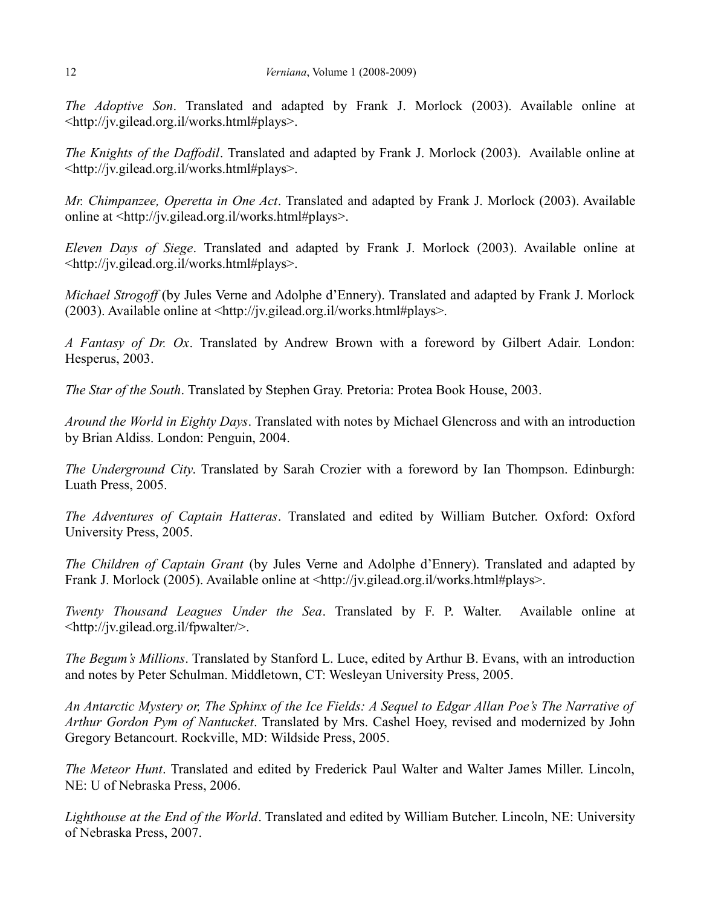*The Adoptive Son*. Translated and adapted by Frank J. Morlock (2003). Available online at <http://jv.gilead.org.il/works.html#plays>.

*The Knights of the Daffodil*. Translated and adapted by Frank J. Morlock (2003). Available online at <http://jv.gilead.org.il/works.html#plays>.

*Mr. Chimpanzee, Operetta in One Act*. Translated and adapted by Frank J. Morlock (2003). Available online at <http://jv.gilead.org.il/works.html#plays>.

*Eleven Days of Siege*. Translated and adapted by Frank J. Morlock (2003). Available online at <http://jv.gilead.org.il/works.html#plays>.

*Michael Strogoff* (by Jules Verne and Adolphe d'Ennery). Translated and adapted by Frank J. Morlock (2003). Available online at <http://jv.gilead.org.il/works.html#plays>.

*A Fantasy of Dr. Ox*. Translated by Andrew Brown with a foreword by Gilbert Adair. London: Hesperus, 2003.

*The Star of the South*. Translated by Stephen Gray. Pretoria: Protea Book House, 2003.

*Around the World in Eighty Days*. Translated with notes by Michael Glencross and with an introduction by Brian Aldiss. London: Penguin, 2004.

*The Underground City*. Translated by Sarah Crozier with a foreword by Ian Thompson. Edinburgh: Luath Press, 2005.

*The Adventures of Captain Hatteras*. Translated and edited by William Butcher. Oxford: Oxford University Press, 2005.

*The Children of Captain Grant* (by Jules Verne and Adolphe d'Ennery). Translated and adapted by Frank J. Morlock (2005). Available online at <http://jv.gilead.org.il/works.html#plays>.

*Twenty Thousand Leagues Under the Sea*. Translated by F. P. Walter. Available online at <http://jv.gilead.org.il/fpwalter/>.

*The Begum's Millions*. Translated by Stanford L. Luce, edited by Arthur B. Evans, with an introduction and notes by Peter Schulman. Middletown, CT: Wesleyan University Press, 2005.

*An Antarctic Mystery or, The Sphinx of the Ice Fields: A Sequel to Edgar Allan Poe's The Narrative of Arthur Gordon Pym of Nantucket*. Translated by Mrs. Cashel Hoey, revised and modernized by John Gregory Betancourt. Rockville, MD: Wildside Press, 2005.

*The Meteor Hunt*. Translated and edited by Frederick Paul Walter and Walter James Miller. Lincoln, NE: U of Nebraska Press, 2006.

*Lighthouse at the End of the World*. Translated and edited by William Butcher. Lincoln, NE: University of Nebraska Press, 2007.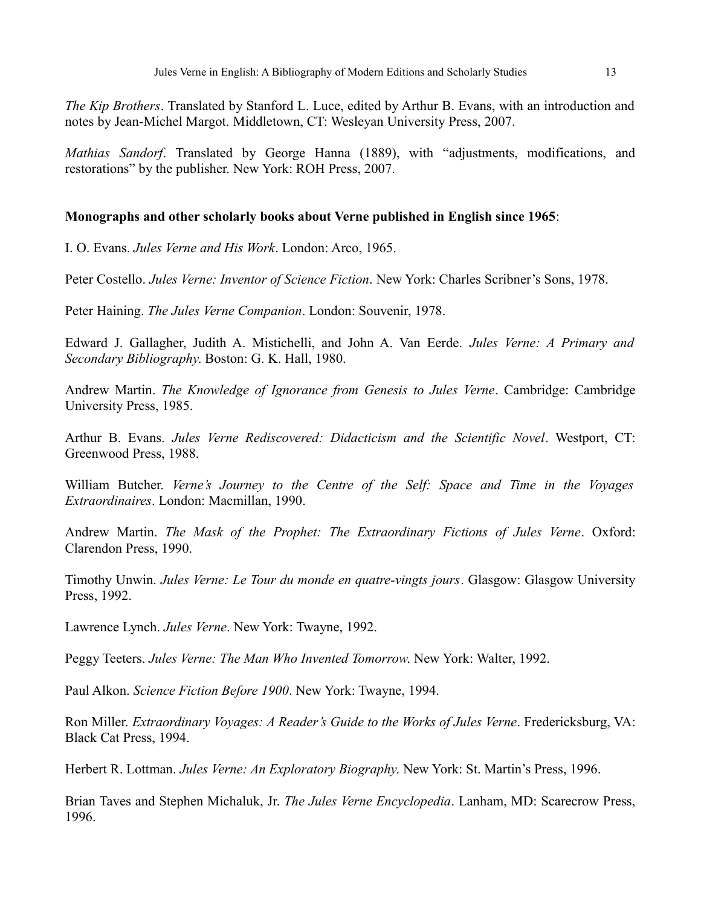*The Kip Brothers*. Translated by Stanford L. Luce, edited by Arthur B. Evans, with an introduction and notes by Jean-Michel Margot. Middletown, CT: Wesleyan University Press, 2007.

*Mathias Sandorf*. Translated by George Hanna (1889), with "adjustments, modifications, and restorations" by the publisher. New York: ROH Press, 2007.

#### **Monographs and other scholarly books about Verne published in English since 1965**:

I. O. Evans. *Jules Verne and His Work*. London: Arco, 1965.

Peter Costello. *Jules Verne: Inventor of Science Fiction*. New York: Charles Scribner's Sons, 1978.

Peter Haining. *The Jules Verne Companion*. London: Souvenir, 1978.

Edward J. Gallagher, Judith A. Mistichelli, and John A. Van Eerde. *Jules Verne: A Primary and Secondary Bibliography*. Boston: G. K. Hall, 1980.

Andrew Martin. *The Knowledge of Ignorance from Genesis to Jules Verne*. Cambridge: Cambridge University Press, 1985.

Arthur B. Evans. *Jules Verne Rediscovered: Didacticism and the Scientific Novel*. Westport, CT: Greenwood Press, 1988.

William Butcher. *Verne's Journey to the Centre of the Self: Space and Time in the Voyages Extraordinaires*. London: Macmillan, 1990.

Andrew Martin. *The Mask of the Prophet: The Extraordinary Fictions of Jules Verne*. Oxford: Clarendon Press, 1990.

Timothy Unwin. *Jules Verne: Le Tour du monde en quatre-vingts jours*. Glasgow: Glasgow University Press, 1992.

Lawrence Lynch. *Jules Verne*. New York: Twayne, 1992.

Peggy Teeters. *Jules Verne: The Man Who Invented Tomorrow*. New York: Walter, 1992.

Paul Alkon. *Science Fiction Before 1900*. New York: Twayne, 1994.

Ron Miller. *Extraordinary Voyages: A Reader's Guide to the Works of Jules Verne*. Fredericksburg, VA: Black Cat Press, 1994.

Herbert R. Lottman. *Jules Verne: An Exploratory Biography*. New York: St. Martin's Press, 1996.

Brian Taves and Stephen Michaluk, Jr. *The Jules Verne Encyclopedia*. Lanham, MD: Scarecrow Press, 1996.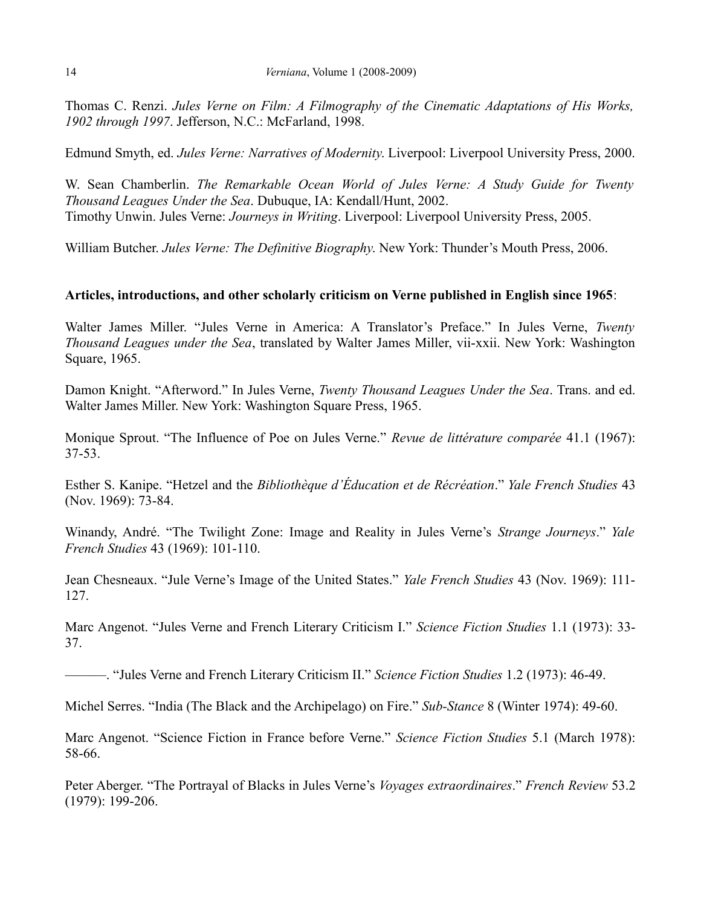Thomas C. Renzi. *Jules Verne on Film: A Filmography of the Cinematic Adaptations of His Works, 1902 through 1997*. Jefferson, N.C.: McFarland, 1998.

Edmund Smyth, ed. *Jules Verne: Narratives of Modernity*. Liverpool: Liverpool University Press, 2000.

W. Sean Chamberlin. *The Remarkable Ocean World of Jules Verne: A Study Guide for Twenty Thousand Leagues Under the Sea*. Dubuque, IA: Kendall/Hunt, 2002. Timothy Unwin. Jules Verne: *Journeys in Writing*. Liverpool: Liverpool University Press, 2005.

William Butcher. *Jules Verne: The Definitive Biography*. New York: Thunder's Mouth Press, 2006.

#### **Articles, introductions, and other scholarly criticism on Verne published in English since 1965**:

Walter James Miller. "Jules Verne in America: A Translator's Preface." In Jules Verne, *Twenty Thousand Leagues under the Sea*, translated by Walter James Miller, vii-xxii. New York: Washington Square, 1965.

Damon Knight. "Afterword." In Jules Verne, *Twenty Thousand Leagues Under the Sea*. Trans. and ed. Walter James Miller. New York: Washington Square Press, 1965.

Monique Sprout. "The Influence of Poe on Jules Verne." *Revue de littérature comparée* 41.1 (1967): 37-53.

Esther S. Kanipe. "Hetzel and the *Bibliothèque d'Éducation et de Récréation*." *Yale French Studies* 43 (Nov. 1969): 73-84.

Winandy, André. "The Twilight Zone: Image and Reality in Jules Verne's *Strange Journeys*." *Yale French Studies* 43 (1969): 101-110.

Jean Chesneaux. "Jule Verne's Image of the United States." *Yale French Studies* 43 (Nov. 1969): 111- 127.

Marc Angenot. "Jules Verne and French Literary Criticism I." *Science Fiction Studies* 1.1 (1973): 33- 37.

———. "Jules Verne and French Literary Criticism II." *Science Fiction Studies* 1.2 (1973): 46-49.

Michel Serres. "India (The Black and the Archipelago) on Fire." *Sub-Stance* 8 (Winter 1974): 49-60.

Marc Angenot. "Science Fiction in France before Verne." *Science Fiction Studies* 5.1 (March 1978): 58-66.

Peter Aberger. "The Portrayal of Blacks in Jules Verne's *Voyages extraordinaires*." *French Review* 53.2 (1979): 199-206.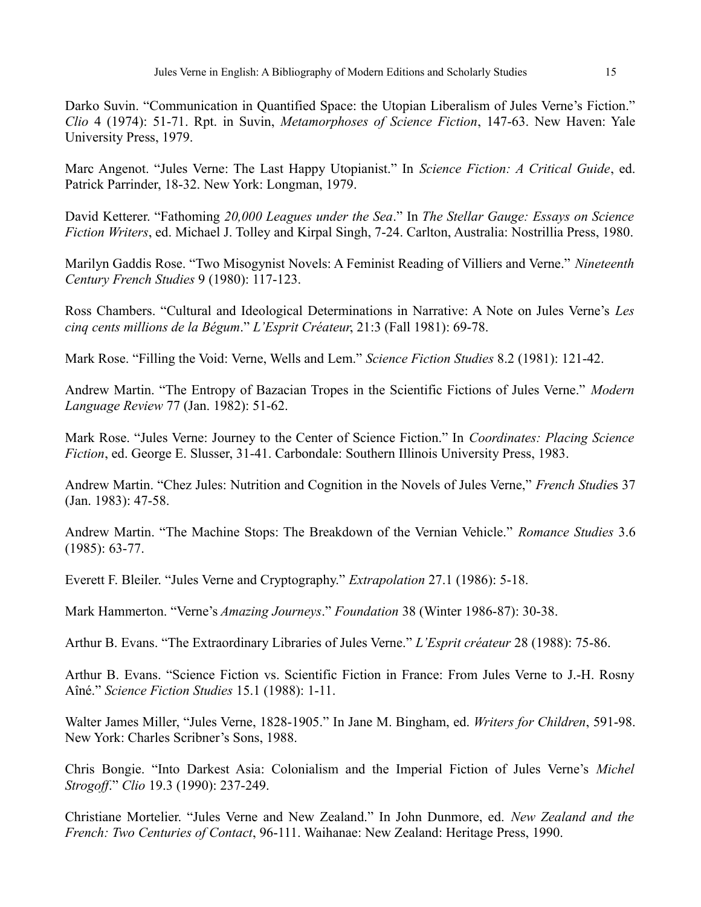Marc Angenot. "Jules Verne: The Last Happy Utopianist." In *Science Fiction: A Critical Guide*, ed. Patrick Parrinder, 18-32. New York: Longman, 1979.

David Ketterer. "Fathoming *20,000 Leagues under the Sea*." In *The Stellar Gauge: Essays on Science Fiction Writers*, ed. Michael J. Tolley and Kirpal Singh, 7-24. Carlton, Australia: Nostrillia Press, 1980.

Marilyn Gaddis Rose. "Two Misogynist Novels: A Feminist Reading of Villiers and Verne." *Nineteenth Century French Studies* 9 (1980): 117-123.

Ross Chambers. "Cultural and Ideological Determinations in Narrative: A Note on Jules Verne's *Les cinq cents millions de la Bégum*." *L'Esprit Créateur*, 21:3 (Fall 1981): 69-78.

Mark Rose. "Filling the Void: Verne, Wells and Lem." *Science Fiction Studies* 8.2 (1981): 121-42.

Andrew Martin. "The Entropy of Bazacian Tropes in the Scientific Fictions of Jules Verne." *Modern Language Review* 77 (Jan. 1982): 51-62.

Mark Rose. "Jules Verne: Journey to the Center of Science Fiction." In *Coordinates: Placing Science Fiction*, ed. George E. Slusser, 31-41. Carbondale: Southern Illinois University Press, 1983.

Andrew Martin. "Chez Jules: Nutrition and Cognition in the Novels of Jules Verne," *French Studie*s 37 (Jan. 1983): 47-58.

Andrew Martin. "The Machine Stops: The Breakdown of the Vernian Vehicle." *Romance Studies* 3.6 (1985): 63-77.

Everett F. Bleiler. "Jules Verne and Cryptography." *Extrapolation* 27.1 (1986): 5-18.

Mark Hammerton. "Verne's *Amazing Journeys*." *Foundation* 38 (Winter 1986-87): 30-38.

Arthur B. Evans. "The Extraordinary Libraries of Jules Verne." *L'Esprit créateur* 28 (1988): 75-86.

Arthur B. Evans. "Science Fiction vs. Scientific Fiction in France: From Jules Verne to J.-H. Rosny Aîné." *Science Fiction Studies* 15.1 (1988): 1-11.

Walter James Miller, "Jules Verne, 1828-1905." In Jane M. Bingham, ed. *Writers for Children*, 591-98. New York: Charles Scribner's Sons, 1988.

Chris Bongie. "Into Darkest Asia: Colonialism and the Imperial Fiction of Jules Verne's *Michel Strogoff*." *Clio* 19.3 (1990): 237-249.

Christiane Mortelier. "Jules Verne and New Zealand." In John Dunmore, ed. *New Zealand and the French: Two Centuries of Contact*, 96-111. Waihanae: New Zealand: Heritage Press, 1990.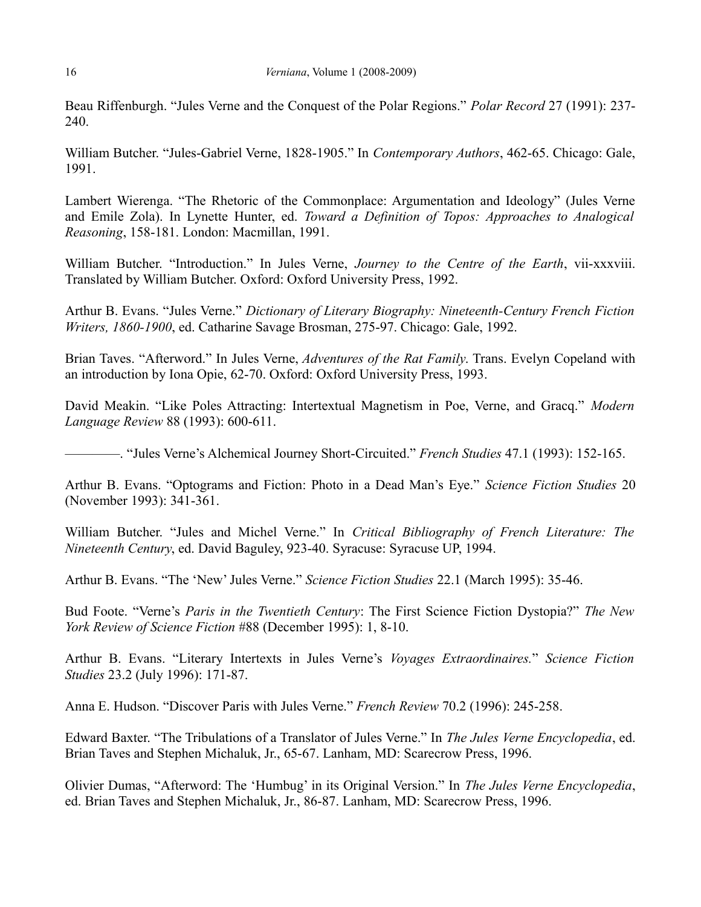Beau Riffenburgh. "Jules Verne and the Conquest of the Polar Regions." *Polar Record* 27 (1991): 237- 240.

William Butcher. "Jules-Gabriel Verne, 1828-1905." In *Contemporary Authors*, 462-65. Chicago: Gale, 1991.

Lambert Wierenga. "The Rhetoric of the Commonplace: Argumentation and Ideology" (Jules Verne and Emile Zola). In Lynette Hunter, ed. *Toward a Definition of Topos: Approaches to Analogical Reasoning*, 158-181. London: Macmillan, 1991.

William Butcher. "Introduction." In Jules Verne, *Journey to the Centre of the Earth*, vii-xxxviii. Translated by William Butcher. Oxford: Oxford University Press, 1992.

Arthur B. Evans. "Jules Verne." *Dictionary of Literary Biography: Nineteenth-Century French Fiction Writers, 1860-1900*, ed. Catharine Savage Brosman, 275-97. Chicago: Gale, 1992.

Brian Taves. "Afterword." In Jules Verne, *Adventures of the Rat Family*. Trans. Evelyn Copeland with an introduction by Iona Opie, 62-70. Oxford: Oxford University Press, 1993.

David Meakin. "Like Poles Attracting: Intertextual Magnetism in Poe, Verne, and Gracq." *Modern Language Review* 88 (1993): 600-611.

————. "Jules Verne's Alchemical Journey Short-Circuited." *French Studies* 47.1 (1993): 152-165.

Arthur B. Evans. "Optograms and Fiction: Photo in a Dead Man's Eye." *Science Fiction Studies* 20 (November 1993): 341-361.

William Butcher. "Jules and Michel Verne." In *Critical Bibliography of French Literature: The Nineteenth Century*, ed. David Baguley, 923-40. Syracuse: Syracuse UP, 1994.

Arthur B. Evans. "The 'New' Jules Verne." *Science Fiction Studies* 22.1 (March 1995): 35-46.

Bud Foote. "Verne's *Paris in the Twentieth Century*: The First Science Fiction Dystopia?" *The New York Review of Science Fiction* #88 (December 1995): 1, 8-10.

Arthur B. Evans. "Literary Intertexts in Jules Verne's *Voyages Extraordinaires.*" *Science Fiction Studies* 23.2 (July 1996): 171-87.

Anna E. Hudson. "Discover Paris with Jules Verne." *French Review* 70.2 (1996): 245-258.

Edward Baxter. "The Tribulations of a Translator of Jules Verne." In *The Jules Verne Encyclopedia*, ed. Brian Taves and Stephen Michaluk, Jr., 65-67. Lanham, MD: Scarecrow Press, 1996.

Olivier Dumas, "Afterword: The 'Humbug' in its Original Version." In *The Jules Verne Encyclopedia*, ed. Brian Taves and Stephen Michaluk, Jr., 86-87. Lanham, MD: Scarecrow Press, 1996.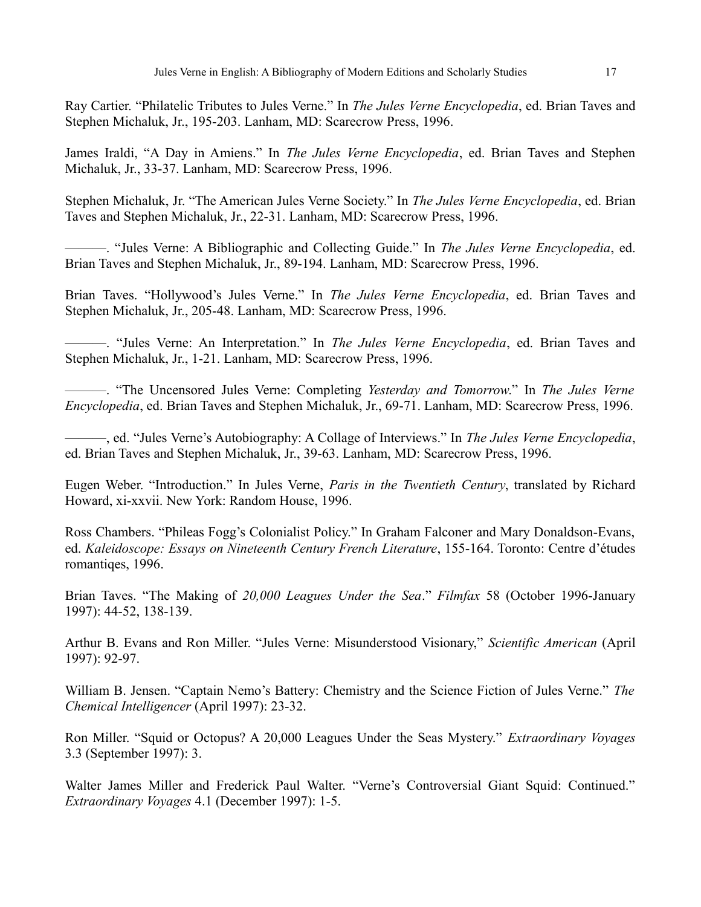Ray Cartier. "Philatelic Tributes to Jules Verne." In *The Jules Verne Encyclopedia*, ed. Brian Taves and Stephen Michaluk, Jr., 195-203. Lanham, MD: Scarecrow Press, 1996.

James Iraldi, "A Day in Amiens." In *The Jules Verne Encyclopedia*, ed. Brian Taves and Stephen Michaluk, Jr., 33-37. Lanham, MD: Scarecrow Press, 1996.

Stephen Michaluk, Jr. "The American Jules Verne Society." In *The Jules Verne Encyclopedia*, ed. Brian Taves and Stephen Michaluk, Jr., 22-31. Lanham, MD: Scarecrow Press, 1996.

———. "Jules Verne: A Bibliographic and Collecting Guide." In *The Jules Verne Encyclopedia*, ed. Brian Taves and Stephen Michaluk, Jr., 89-194. Lanham, MD: Scarecrow Press, 1996.

Brian Taves. "Hollywood's Jules Verne." In *The Jules Verne Encyclopedia*, ed. Brian Taves and Stephen Michaluk, Jr., 205-48. Lanham, MD: Scarecrow Press, 1996.

———. "Jules Verne: An Interpretation." In *The Jules Verne Encyclopedia*, ed. Brian Taves and Stephen Michaluk, Jr., 1-21. Lanham, MD: Scarecrow Press, 1996.

———. "The Uncensored Jules Verne: Completing *Yesterday and Tomorrow*." In *The Jules Verne Encyclopedia*, ed. Brian Taves and Stephen Michaluk, Jr., 69-71. Lanham, MD: Scarecrow Press, 1996.

———, ed. "Jules Verne's Autobiography: A Collage of Interviews." In *The Jules Verne Encyclopedia*, ed. Brian Taves and Stephen Michaluk, Jr., 39-63. Lanham, MD: Scarecrow Press, 1996.

Eugen Weber. "Introduction." In Jules Verne, *Paris in the Twentieth Century*, translated by Richard Howard, xi-xxvii. New York: Random House, 1996.

Ross Chambers. "Phileas Fogg's Colonialist Policy." In Graham Falconer and Mary Donaldson-Evans, ed. *Kaleidoscope: Essays on Nineteenth Century French Literature*, 155-164. Toronto: Centre d'études romantiqes, 1996.

Brian Taves. "The Making of *20,000 Leagues Under the Sea*." *Filmfax* 58 (October 1996-January 1997): 44-52, 138-139.

Arthur B. Evans and Ron Miller. "Jules Verne: Misunderstood Visionary," *Scientific American* (April 1997): 92-97.

William B. Jensen. "Captain Nemo's Battery: Chemistry and the Science Fiction of Jules Verne." *The Chemical Intelligencer* (April 1997): 23-32.

Ron Miller. "Squid or Octopus? A 20,000 Leagues Under the Seas Mystery." *Extraordinary Voyages* 3.3 (September 1997): 3.

Walter James Miller and Frederick Paul Walter. "Verne's Controversial Giant Squid: Continued." *Extraordinary Voyages* 4.1 (December 1997): 1-5.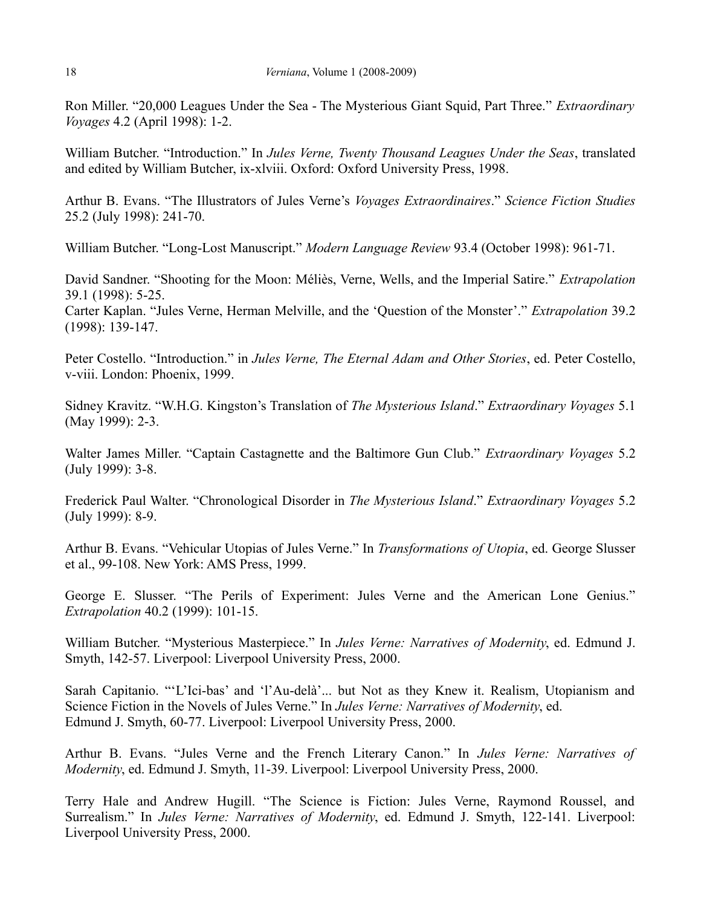Ron Miller. "20,000 Leagues Under the Sea - The Mysterious Giant Squid, Part Three." *Extraordinary Voyages* 4.2 (April 1998): 1-2.

William Butcher. "Introduction." In *Jules Verne, Twenty Thousand Leagues Under the Seas*, translated and edited by William Butcher, ix-xlviii. Oxford: Oxford University Press, 1998.

Arthur B. Evans. "The Illustrators of Jules Verne's *Voyages Extraordinaires*." *Science Fiction Studies* 25.2 (July 1998): 241-70.

William Butcher. "Long-Lost Manuscript." *Modern Language Review* 93.4 (October 1998): 961-71.

David Sandner. "Shooting for the Moon: Méliès, Verne, Wells, and the Imperial Satire." *Extrapolation* 39.1 (1998): 5-25.

Carter Kaplan. "Jules Verne, Herman Melville, and the 'Question of the Monster'." *Extrapolation* 39.2 (1998): 139-147.

Peter Costello. "Introduction." in *Jules Verne, The Eternal Adam and Other Stories*, ed. Peter Costello, v-viii. London: Phoenix, 1999.

Sidney Kravitz. "W.H.G. Kingston's Translation of *The Mysterious Island*." *Extraordinary Voyages* 5.1 (May 1999): 2-3.

Walter James Miller. "Captain Castagnette and the Baltimore Gun Club." *Extraordinary Voyages* 5.2 (July 1999): 3-8.

Frederick Paul Walter. "Chronological Disorder in *The Mysterious Island*." *Extraordinary Voyages* 5.2 (July 1999): 8-9.

Arthur B. Evans. "Vehicular Utopias of Jules Verne." In *Transformations of Utopia*, ed. George Slusser et al., 99-108. New York: AMS Press, 1999.

George E. Slusser. "The Perils of Experiment: Jules Verne and the American Lone Genius." *Extrapolation* 40.2 (1999): 101-15.

William Butcher. "Mysterious Masterpiece." In *Jules Verne: Narratives of Modernity*, ed. Edmund J. Smyth, 142-57. Liverpool: Liverpool University Press, 2000.

Sarah Capitanio. "'L'Ici-bas' and 'l'Au-delà'... but Not as they Knew it. Realism, Utopianism and Science Fiction in the Novels of Jules Verne." In *Jules Verne: Narratives of Modernity*, ed. Edmund J. Smyth, 60-77. Liverpool: Liverpool University Press, 2000.

Arthur B. Evans. "Jules Verne and the French Literary Canon." In *Jules Verne: Narratives of Modernity*, ed. Edmund J. Smyth, 11-39. Liverpool: Liverpool University Press, 2000.

Terry Hale and Andrew Hugill. "The Science is Fiction: Jules Verne, Raymond Roussel, and Surrealism." In *Jules Verne: Narratives of Modernity*, ed. Edmund J. Smyth, 122-141. Liverpool: Liverpool University Press, 2000.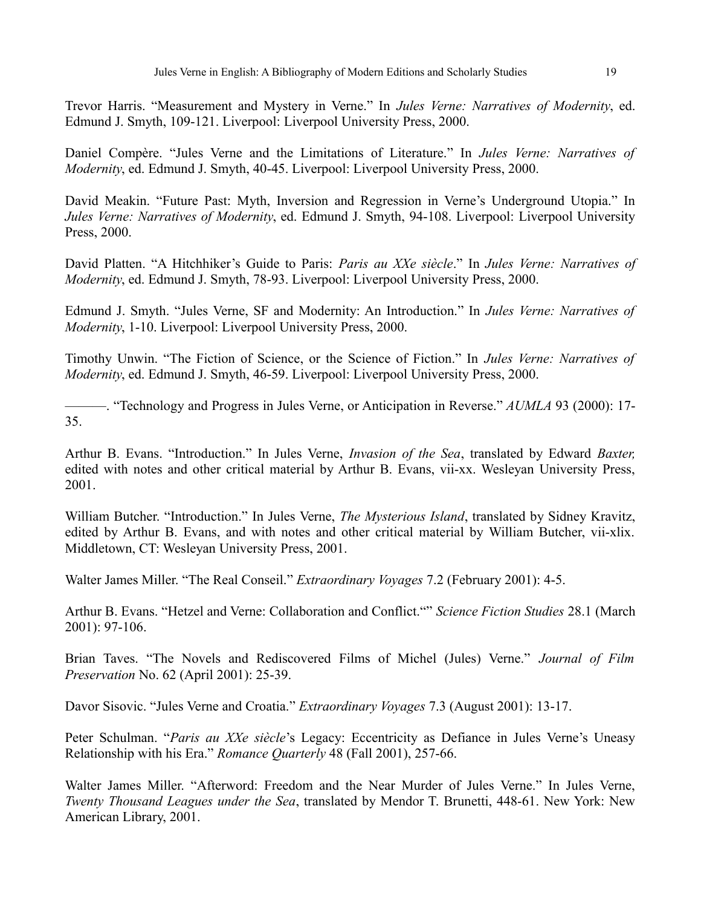Trevor Harris. "Measurement and Mystery in Verne." In *Jules Verne: Narratives of Modernity*, ed. Edmund J. Smyth, 109-121. Liverpool: Liverpool University Press, 2000.

Daniel Compère. "Jules Verne and the Limitations of Literature." In *Jules Verne: Narratives of Modernity*, ed. Edmund J. Smyth, 40-45. Liverpool: Liverpool University Press, 2000.

David Meakin. "Future Past: Myth, Inversion and Regression in Verne's Underground Utopia." In *Jules Verne: Narratives of Modernity*, ed. Edmund J. Smyth, 94-108. Liverpool: Liverpool University Press, 2000.

David Platten. "A Hitchhiker's Guide to Paris: *Paris au XXe siècle*." In *Jules Verne: Narratives of Modernity*, ed. Edmund J. Smyth, 78-93. Liverpool: Liverpool University Press, 2000.

Edmund J. Smyth. "Jules Verne, SF and Modernity: An Introduction." In *Jules Verne: Narratives of Modernity*, 1-10. Liverpool: Liverpool University Press, 2000.

Timothy Unwin. "The Fiction of Science, or the Science of Fiction." In *Jules Verne: Narratives of Modernity*, ed. Edmund J. Smyth, 46-59. Liverpool: Liverpool University Press, 2000.

———. "Technology and Progress in Jules Verne, or Anticipation in Reverse." *AUMLA* 93 (2000): 17- 35.

Arthur B. Evans. "Introduction." In Jules Verne, *Invasion of the Sea*, translated by Edward *Baxter,* edited with notes and other critical material by Arthur B. Evans, vii-xx. Wesleyan University Press, 2001.

William Butcher. "Introduction." In Jules Verne, *The Mysterious Island*, translated by Sidney Kravitz, edited by Arthur B. Evans, and with notes and other critical material by William Butcher, vii-xlix. Middletown, CT: Wesleyan University Press, 2001.

Walter James Miller. "The Real Conseil." *Extraordinary Voyages* 7.2 (February 2001): 4-5.

Arthur B. Evans. "Hetzel and Verne: Collaboration and Conflict."" *Science Fiction Studies* 28.1 (March 2001): 97-106.

Brian Taves. "The Novels and Rediscovered Films of Michel (Jules) Verne." *Journal of Film Preservation* No. 62 (April 2001): 25-39.

Davor Sisovic. "Jules Verne and Croatia." *Extraordinary Voyages* 7.3 (August 2001): 13-17.

Peter Schulman. "*Paris au XXe siècle*'s Legacy: Eccentricity as Defiance in Jules Verne's Uneasy Relationship with his Era." *Romance Quarterly* 48 (Fall 2001), 257-66.

Walter James Miller. "Afterword: Freedom and the Near Murder of Jules Verne." In Jules Verne, *Twenty Thousand Leagues under the Sea*, translated by Mendor T. Brunetti, 448-61. New York: New American Library, 2001.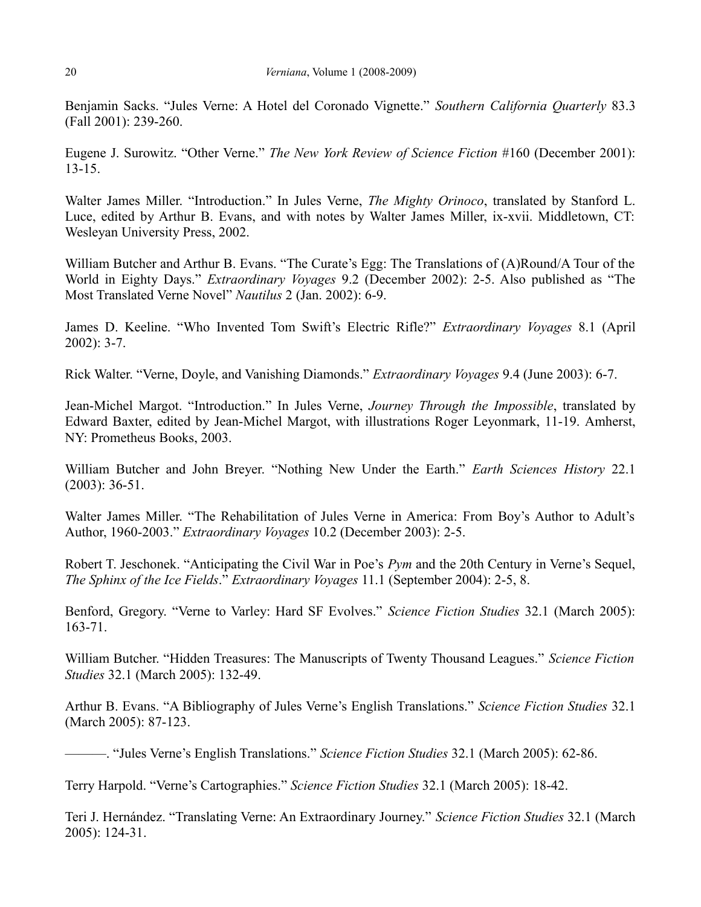Benjamin Sacks. "Jules Verne: A Hotel del Coronado Vignette." *Southern California Quarterly* 83.3 (Fall 2001): 239-260.

Eugene J. Surowitz. "Other Verne." *The New York Review of Science Fiction* #160 (December 2001): 13-15.

Walter James Miller. "Introduction." In Jules Verne, *The Mighty Orinoco*, translated by Stanford L. Luce, edited by Arthur B. Evans, and with notes by Walter James Miller, ix-xvii. Middletown, CT: Wesleyan University Press, 2002.

William Butcher and Arthur B. Evans. "The Curate's Egg: The Translations of (A)Round/A Tour of the World in Eighty Days." *Extraordinary Voyages* 9.2 (December 2002): 2-5. Also published as "The Most Translated Verne Novel" *Nautilus* 2 (Jan. 2002): 6-9.

James D. Keeline. "Who Invented Tom Swift's Electric Rifle?" *Extraordinary Voyages* 8.1 (April 2002): 3-7.

Rick Walter. "Verne, Doyle, and Vanishing Diamonds." *Extraordinary Voyages* 9.4 (June 2003): 6-7.

Jean-Michel Margot. "Introduction." In Jules Verne, *Journey Through the Impossible*, translated by Edward Baxter, edited by Jean-Michel Margot, with illustrations Roger Leyonmark, 11-19. Amherst, NY: Prometheus Books, 2003.

William Butcher and John Breyer. "Nothing New Under the Earth." *Earth Sciences History* 22.1 (2003): 36-51.

Walter James Miller. "The Rehabilitation of Jules Verne in America: From Boy's Author to Adult's Author, 1960-2003." *Extraordinary Voyages* 10.2 (December 2003): 2-5.

Robert T. Jeschonek. "Anticipating the Civil War in Poe's *Pym* and the 20th Century in Verne's Sequel, *The Sphinx of the Ice Fields*." *Extraordinary Voyages* 11.1 (September 2004): 2-5, 8.

Benford, Gregory. "Verne to Varley: Hard SF Evolves." *Science Fiction Studies* 32.1 (March 2005): 163-71.

William Butcher. "Hidden Treasures: The Manuscripts of Twenty Thousand Leagues." *Science Fiction Studies* 32.1 (March 2005): 132-49.

Arthur B. Evans. "A Bibliography of Jules Verne's English Translations." *Science Fiction Studies* 32.1 (March 2005): 87-123.

———. "Jules Verne's English Translations." *Science Fiction Studies* 32.1 (March 2005): 62-86.

Terry Harpold. "Verne's Cartographies." *Science Fiction Studies* 32.1 (March 2005): 18-42.

Teri J. Hernández. "Translating Verne: An Extraordinary Journey." *Science Fiction Studies* 32.1 (March 2005): 124-31.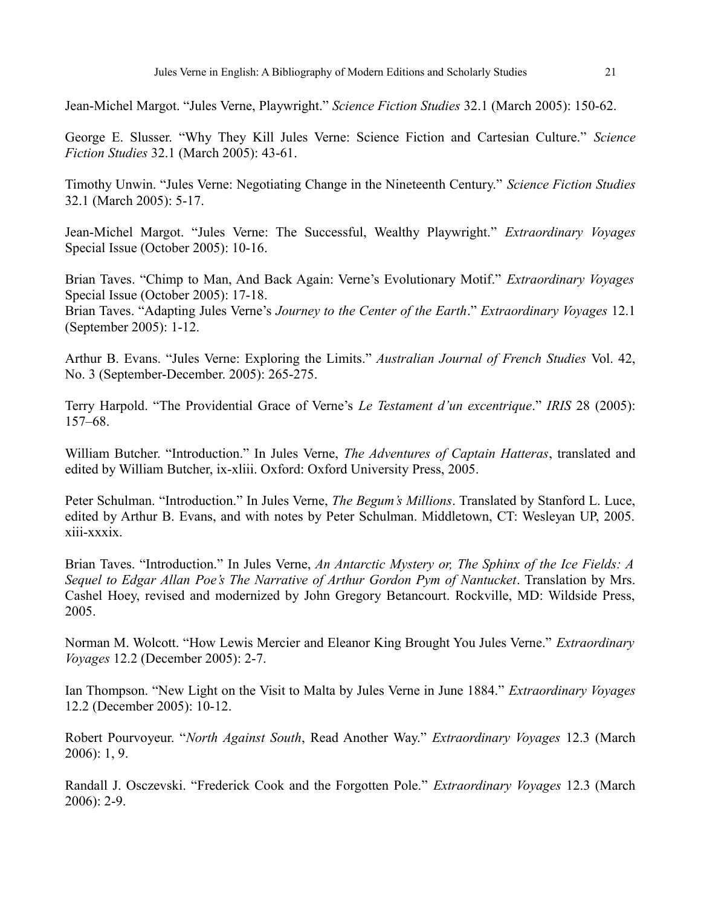Jean-Michel Margot. "Jules Verne, Playwright." *Science Fiction Studies* 32.1 (March 2005): 150-62.

George E. Slusser. "Why They Kill Jules Verne: Science Fiction and Cartesian Culture." *Science Fiction Studies* 32.1 (March 2005): 43-61.

Timothy Unwin. "Jules Verne: Negotiating Change in the Nineteenth Century." *Science Fiction Studies* 32.1 (March 2005): 5-17.

Jean-Michel Margot. "Jules Verne: The Successful, Wealthy Playwright." *Extraordinary Voyages* Special Issue (October 2005): 10-16.

Brian Taves. "Chimp to Man, And Back Again: Verne's Evolutionary Motif." *Extraordinary Voyages* Special Issue (October 2005): 17-18.

Brian Taves. "Adapting Jules Verne's *Journey to the Center of the Earth*." *Extraordinary Voyages* 12.1 (September 2005): 1-12.

Arthur B. Evans. "Jules Verne: Exploring the Limits." *Australian Journal of French Studies* Vol. 42, No. 3 (September-December. 2005): 265-275.

Terry Harpold. "The Providential Grace of Verne's *Le Testament d'un excentrique*." *IRIS* 28 (2005): 157–68.

William Butcher. "Introduction." In Jules Verne, *The Adventures of Captain Hatteras*, translated and edited by William Butcher, ix-xliii. Oxford: Oxford University Press, 2005.

Peter Schulman. "Introduction." In Jules Verne, *The Begum's Millions*. Translated by Stanford L. Luce, edited by Arthur B. Evans, and with notes by Peter Schulman. Middletown, CT: Wesleyan UP, 2005. xiii-xxxix.

Brian Taves. "Introduction." In Jules Verne, *An Antarctic Mystery or, The Sphinx of the Ice Fields: A Sequel to Edgar Allan Poe's The Narrative of Arthur Gordon Pym of Nantucket*. Translation by Mrs. Cashel Hoey, revised and modernized by John Gregory Betancourt. Rockville, MD: Wildside Press, 2005.

Norman M. Wolcott. "How Lewis Mercier and Eleanor King Brought You Jules Verne." *Extraordinary Voyages* 12.2 (December 2005): 2-7.

Ian Thompson. "New Light on the Visit to Malta by Jules Verne in June 1884." *Extraordinary Voyages* 12.2 (December 2005): 10-12.

Robert Pourvoyeur. "*North Against South*, Read Another Way." *Extraordinary Voyages* 12.3 (March 2006): 1, 9.

Randall J. Osczevski. "Frederick Cook and the Forgotten Pole." *Extraordinary Voyages* 12.3 (March 2006): 2-9.